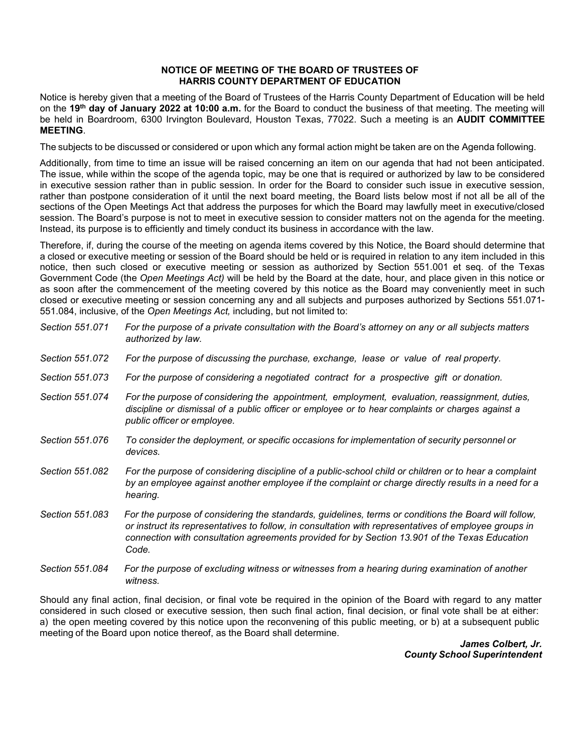## **NOTICE OF MEETING OF THE BOARD OF TRUSTEES OF HARRIS COUNTY DEPARTMENT OF EDUCATION**

Notice is hereby given that a meeting of the Board of Trustees of the Harris County Department of Education will be held on the **19th day of January 2022 at 10:00 a.m.** for the Board to conduct the business of that meeting. The meeting will be held in Boardroom, 6300 Irvington Boulevard, Houston Texas, 77022. Such a meeting is an **AUDIT COMMITTEE MEETING**.

The subjects to be discussed or considered or upon which any formal action might be taken are on the Agenda following.

Additionally, from time to time an issue will be raised concerning an item on our agenda that had not been anticipated. The issue, while within the scope of the agenda topic, may be one that is required or authorized by law to be considered in executive session rather than in public session. In order for the Board to consider such issue in executive session, rather than postpone consideration of it until the next board meeting, the Board lists below most if not all be all of the sections of the Open Meetings Act that address the purposes for which the Board may lawfully meet in executive/closed session. The Board's purpose is not to meet in executive session to consider matters not on the agenda for the meeting. Instead, its purpose is to efficiently and timely conduct its business in accordance with the law.

Therefore, if, during the course of the meeting on agenda items covered by this Notice, the Board should determine that a closed or executive meeting or session of the Board should be held or is required in relation to any item included in this notice, then such closed or executive meeting or session as authorized by Section 551.001 et seq. of the Texas Government Code (the *Open Meetings Act)* will be held by the Board at the date, hour, and place given in this notice or as soon after the commencement of the meeting covered by this notice as the Board may conveniently meet in such closed or executive meeting or session concerning any and all subjects and purposes authorized by Sections 551.071- 551.084, inclusive, of the *Open Meetings Act,* including, but not limited to:

| Section 551.071 | For the purpose of a private consultation with the Board's attorney on any or all subjects matters<br>authorized by law.                                                                                                                                                                                                |
|-----------------|-------------------------------------------------------------------------------------------------------------------------------------------------------------------------------------------------------------------------------------------------------------------------------------------------------------------------|
| Section 551.072 | For the purpose of discussing the purchase, exchange, lease or value of real property.                                                                                                                                                                                                                                  |
| Section 551,073 | For the purpose of considering a negotiated contract for a prospective gift or donation.                                                                                                                                                                                                                                |
| Section 551.074 | For the purpose of considering the appointment, employment, evaluation, reassignment, duties,<br>discipline or dismissal of a public officer or employee or to hear complaints or charges against a<br>public officer or employee.                                                                                      |
| Section 551.076 | To consider the deployment, or specific occasions for implementation of security personnel or<br>devices.                                                                                                                                                                                                               |
| Section 551.082 | For the purpose of considering discipline of a public-school child or children or to hear a complaint<br>by an employee against another employee if the complaint or charge directly results in a need for a<br>hearing.                                                                                                |
| Section 551.083 | For the purpose of considering the standards, guidelines, terms or conditions the Board will follow,<br>or instruct its representatives to follow, in consultation with representatives of employee groups in<br>connection with consultation agreements provided for by Section 13.901 of the Texas Education<br>Code. |
| Section 551,084 | For the purpose of excluding witness or witnesses from a hearing during examination of another                                                                                                                                                                                                                          |

Should any final action, final decision, or final vote be required in the opinion of the Board with regard to any matter considered in such closed or executive session, then such final action, final decision, or final vote shall be at either: a) the open meeting covered by this notice upon the reconvening of this public meeting, or b) at a subsequent public meeting of the Board upon notice thereof, as the Board shall determine.

*witness.*

*James Colbert, Jr. County School Superintendent*